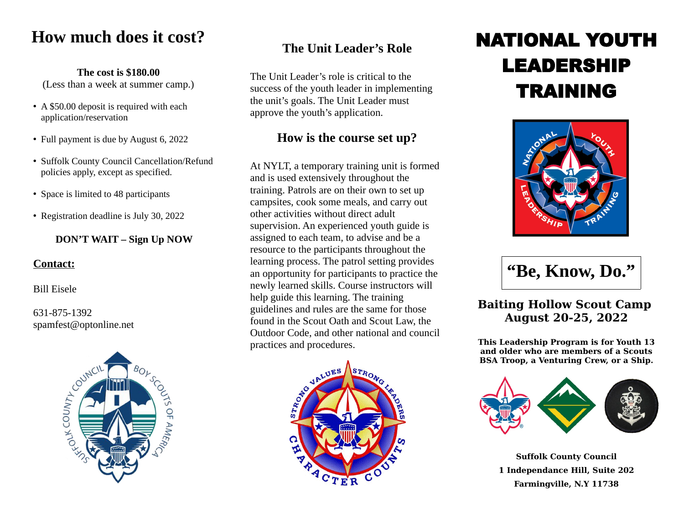# **How much does it cost?**

#### **The cost is \$180.00**

(Less than a week at summer camp.)

- A \$50.00 deposit is required with each application/reservation
- Full payment is due by August 6, 2022
- Suffolk County Council Cancellation/Refund policies apply, except as specified.
- Space is limited to 48 participants
- Registration deadline is July 30, 2022

#### **DON'T WAIT – Sign Up NOW**

#### **Contact:**

Bill Eisele

#### 631-875-1392 spamfest@optonline.net



## **The Unit Leader's Role**

The Unit Leader's role is critical to the success of the youth leader in implementing the unit's goals. The Unit Leader must approve the youth's application.

## **How is the course set up?**

At NYLT, a temporary training unit is formed and is used extensively throughout the training. Patrols are on their own to set up campsites, cook some meals, and carry out other activities without direct adult supervision. An experienced youth guide is assigned to each team, to advise and be a resource to the participants throughout the learning process. The patrol setting provides an opportunity for participants to practice the newly learned skills. Course instructors will help guide this learning. The training guidelines and rules are the same for those found in the Scout Oath and Scout Law, the Outdoor Code, and other national and council practices and procedures.



# NATIONAL YOUTH LEADERSHIP TRAINING



**"Be, Know, Do."**

### **Baiting Hollow Scout Camp August 20-25, 2022**

**This Leadership Program is for Youth 13 and older who are members of a Scouts BSA Troop, a Venturing Crew, or a Ship.**



**Suffolk County Council 1 Independance Hill, Suite 202 Farmingville, N.Y 11738**